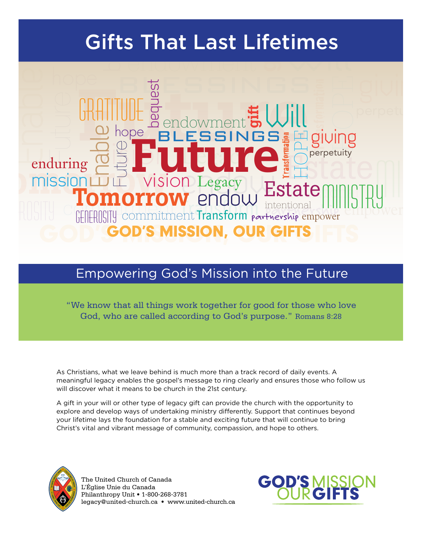# Gifts That Last Lifetimes



## Empowering God's Mission into the Future

"We know that all things work together for good for those who love God, who are called according to God's purpose." Romans 8:28

As Christians, what we leave behind is much more than a track record of daily events. A meaningful legacy enables the gospel's message to ring clearly and ensures those who follow us will discover what it means to be church in the 21st century.

A gift in your will or other type of legacy gift can provide the church with the opportunity to explore and develop ways of undertaking ministry differently. Support that continues beyond your lifetime lays the foundation for a stable and exciting future that will continue to bring Christ's vital and vibrant message of community, compassion, and hope to others.



The United Church of Canada L'Église Unie du Canada Philanthropy Unit • 1-800-268-3781 legacy@united-church.ca • www.united-church.ca

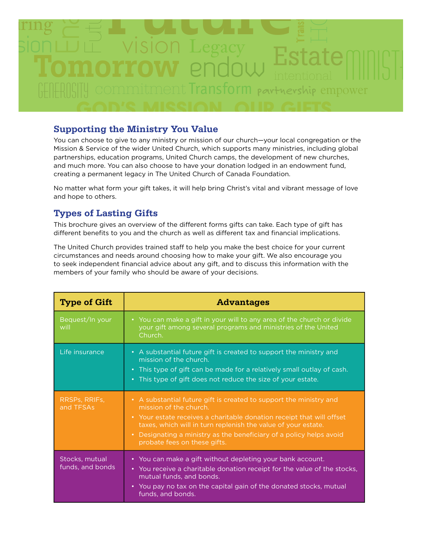

#### **Supporting the Ministry You Value**

You can choose to give to any ministry or mission of our church—your local congregation or the Mission & Service of the wider United Church, which supports many ministries, including global partnerships, education programs, United Church camps, the development of new churches, and much more. You can also choose to have your donation lodged in an endowment fund, creating a permanent legacy in The United Church of Canada Foundation.

No matter what form your gift takes, it will help bring Christ's vital and vibrant message of love and hope to others.

#### **Types of Lasting Gifts**

This brochure gives an overview of the different forms gifts can take. Each type of gift has different benefits to you and the church as well as different tax and financial implications.

The United Church provides trained staff to help you make the best choice for your current circumstances and needs around choosing how to make your gift. We also encourage you to seek independent financial advice about any gift, and to discuss this information with the members of your family who should be aware of your decisions.

| <b>Type of Gift</b>                | <b>Advantages</b>                                                                                                                                                                                                                                                                                                                             |  |  |
|------------------------------------|-----------------------------------------------------------------------------------------------------------------------------------------------------------------------------------------------------------------------------------------------------------------------------------------------------------------------------------------------|--|--|
| Bequest/In your<br>will            | • You can make a gift in your will to any area of the church or divide<br>your gift among several programs and ministries of the United<br>Church.                                                                                                                                                                                            |  |  |
| Life insurance                     | • A substantial future gift is created to support the ministry and<br>mission of the church.<br>• This type of gift can be made for a relatively small outlay of cash.<br>• This type of gift does not reduce the size of your estate.                                                                                                        |  |  |
| RRSPs, RRIFs,<br>and TFSAs         | • A substantial future gift is created to support the ministry and<br>mission of the church.<br>• Your estate receives a charitable donation receipt that will offset<br>taxes, which will in turn replenish the value of your estate.<br>• Designating a ministry as the beneficiary of a policy helps avoid<br>probate fees on these gifts. |  |  |
| Stocks, mutual<br>funds, and bonds | • You can make a gift without depleting your bank account.<br>• You receive a charitable donation receipt for the value of the stocks,<br>mutual funds, and bonds.<br>• You pay no tax on the capital gain of the donated stocks, mutual<br>funds, and bonds.                                                                                 |  |  |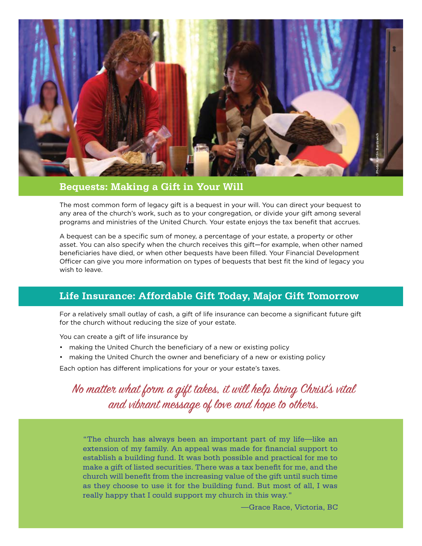

#### **Bequests: Making a Gift in Your Will**

The most common form of legacy gift is a bequest in your will. You can direct your bequest to any area of the church's work, such as to your congregation, or divide your gift among several programs and ministries of the United Church. Your estate enjoys the tax benefit that accrues.

A bequest can be a specific sum of money, a percentage of your estate, a property or other asset. You can also specify when the church receives this gift—for example, when other named beneficiaries have died, or when other bequests have been filled. Your Financial Development Officer can give you more information on types of bequests that best fit the kind of legacy you wish to leave.

#### **Life Insurance: Affordable Gift Today, Major Gift Tomorrow**

For a relatively small outlay of cash, a gift of life insurance can become a significant future gift for the church without reducing the size of your estate.

You can create a gift of life insurance by

- making the United Church the beneficiary of a new or existing policy
- making the United Church the owner and beneficiary of a new or existing policy

Each option has different implications for your or your estate's taxes.

No matter what form a gift takes, it will help bring Christ's vital and vibrant message of love and hope to others.

"The church has always been an important part of my life—like an extension of my family. An appeal was made for financial support to establish a building fund. It was both possible and practical for me to make a gift of listed securities. There was a tax benefit for me, and the church will benefit from the increasing value of the gift until such time as they choose to use it for the building fund. But most of all, I was really happy that I could support my church in this way."

—Grace Race, Victoria, BC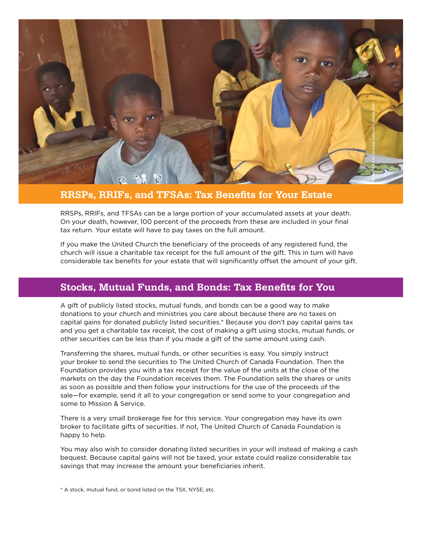

#### **RRSPs, RRIFs, and TFSAs: Tax Benefits for Your Estate**

RRSPs, RRIFs, and TFSAs can be a large portion of your accumulated assets at your death. On your death, however, 100 percent of the proceeds from these are included in your final tax return. Your estate will have to pay taxes on the full amount.

If you make the United Church the beneficiary of the proceeds of any registered fund, the church will issue a charitable tax receipt for the full amount of the gift. This in turn will have considerable tax benefits for your estate that will significantly offset the amount of your gift.

#### **Stocks, Mutual Funds, and Bonds: Tax Benefits for You**

A gift of publicly listed stocks, mutual funds, and bonds can be a good way to make donations to your church and ministries you care about because there are no taxes on capital gains for donated publicly listed securities.\* Because you don't pay capital gains tax and you get a charitable tax receipt, the cost of making a gift using stocks, mutual funds, or other securities can be less than if you made a gift of the same amount using cash.

Transferring the shares, mutual funds, or other securities is easy. You simply instruct your broker to send the securities to The United Church of Canada Foundation. Then the Foundation provides you with a tax receipt for the value of the units at the close of the markets on the day the Foundation receives them. The Foundation sells the shares or units as soon as possible and then follow your instructions for the use of the proceeds of the sale—for example, send it all to your congregation or send some to your congregation and some to Mission & Service.

There is a very small brokerage fee for this service. Your congregation may have its own broker to facilitate gifts of securities. If not, The United Church of Canada Foundation is happy to help.

You may also wish to consider donating listed securities in your will instead of making a cash bequest. Because capital gains will not be taxed, your estate could realize considerable tax savings that may increase the amount your beneficiaries inherit.

\* A stock, mutual fund, or bond listed on the TSX, NYSE, etc.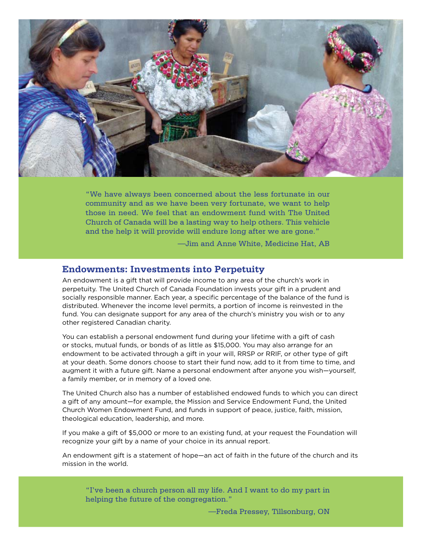

"We have always been concerned about the less fortunate in our community and as we have been very fortunate, we want to help those in need. We feel that an endowment fund with The United Church of Canada will be a lasting way to help others. This vehicle and the help it will provide will endure long after we are gone."

—Jim and Anne White, Medicine Hat, AB

#### **Endowments: Investments into Perpetuity**

An endowment is a gift that will provide income to any area of the church's work in perpetuity. The United Church of Canada Foundation invests your gift in a prudent and socially responsible manner. Each year, a specific percentage of the balance of the fund is distributed. Whenever the income level permits, a portion of income is reinvested in the fund. You can designate support for any area of the church's ministry you wish or to any other registered Canadian charity.

You can establish a personal endowment fund during your lifetime with a gift of cash or stocks, mutual funds, or bonds of as little as \$15,000. You may also arrange for an endowment to be activated through a gift in your will, RRSP or RRIF, or other type of gift at your death. Some donors choose to start their fund now, add to it from time to time, and augment it with a future gift. Name a personal endowment after anyone you wish—yourself, a family member, or in memory of a loved one.

The United Church also has a number of established endowed funds to which you can direct a gift of any amount—for example, the Mission and Service Endowment Fund, the United Church Women Endowment Fund, and funds in support of peace, justice, faith, mission, theological education, leadership, and more.

If you make a gift of \$5,000 or more to an existing fund, at your request the Foundation will recognize your gift by a name of your choice in its annual report.

An endowment gift is a statement of hope—an act of faith in the future of the church and its mission in the world.

"I've been a church person all my life. And I want to do my part in helping the future of the congregation."

—Freda Pressey, Tillsonburg, ON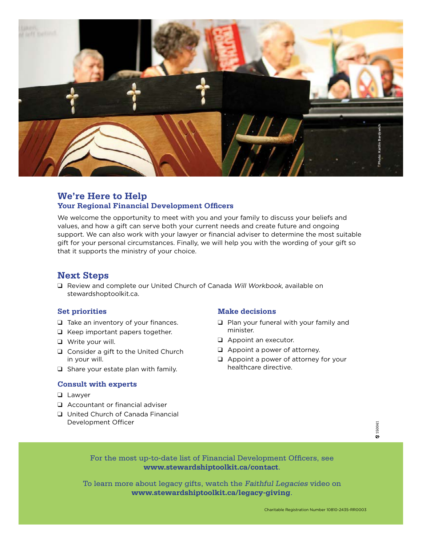

#### **We're Here to Help Your Regional Financial Development Officers**

We welcome the opportunity to meet with you and your family to discuss your beliefs and values, and how a gift can serve both your current needs and create future and ongoing support. We can also work with your lawyer or financial adviser to determine the most suitable gift for your personal circumstances. Finally, we will help you with the wording of your gift so that it supports the ministry of your choice.

#### **Next Steps**

 $\Box$  Review and complete our United Church of Canada Will Workbook, available on stewardshoptoolkit.ca.

#### **Set priorities**

- $\Box$  Take an inventory of your finances.
- $\Box$  Keep important papers together.
- **Q** Write your will.
- $\Box$  Consider a gift to the United Church in your will.
- $\Box$  Share your estate plan with family.

#### **Consult with experts**

- **Q** Lawyer
- $\Box$  Accountant or financial adviser
- **Q** United Church of Canada Financial Development Officer

#### **Make decisions**

- $\Box$  Plan your funeral with your family and minister.
- $\Box$  Appoint an executor.
- $\Box$  Appoint a power of attorney.
- $\Box$  Appoint a power of attorney for your healthcare directive.



For the most up-to-date list of Financial Development Officers, see **www.stewardshiptoolkit.ca/contact**.

To learn more about legacy gifts, watch the Faithful Legacies video on **www.stewardshiptoolkit.ca/legacy-giving**.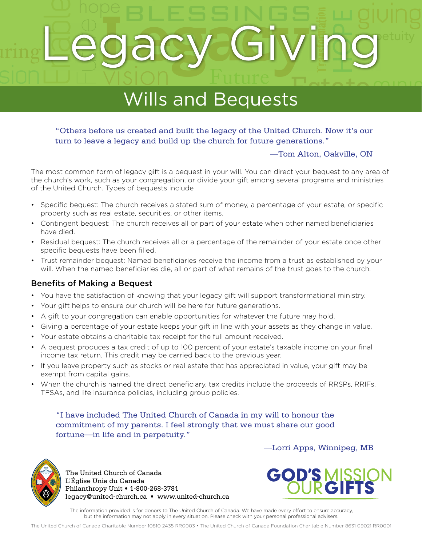## PESSINGS **ISC** Enable Sien<br>Ainder<br>Hopes Future ming **Legacy Giving**etuity <u>sion</u> Legacy Giving

# endown Estate Contractor Wills and Bequests

# "Others before us created and built the legacy of the United Church. Now it's our<br>turn to legacy a legacy and build up the church for future generations." turn to leave a legacy and build up the church for future generations."<br>—Tom Alton, Oakville,

#### —Tom Alton, Oakville, ON

Ministry

The most common form of legacy gift is a bequest in your will. You can direct your bequest to any area of the church's work, such as your congregation, or divide your gift among several programs and ministries of the United Church. Types of bequests include

- Specific bequest: The church receives a stated sum of money, a percentage of your estate, or specific property such as real estate, securities, or other items.
- Contingent bequest: The church receives all or part of your estate when other named beneficiaries have died.
- Residual bequest: The church receives all or a percentage of the remainder of your estate once other specific bequests have been filled.
- Trust remainder bequest: Named beneficiaries receive the income from a trust as established by your will. When the named beneficiaries die, all or part of what remains of the trust goes to the church.

#### Benefits of Making a Bequest

- You have the satisfaction of knowing that your legacy gift will support transformational ministry.
- Your gift helps to ensure our church will be here for future generations.
- A gift to your congregation can enable opportunities for whatever the future may hold.
- Giving a percentage of your estate keeps your gift in line with your assets as they change in value.
- Your estate obtains a charitable tax receipt for the full amount received.
- A bequest produces a tax credit of up to 100 percent of your estate's taxable income on your final income tax return. This credit may be carried back to the previous year.
- If you leave property such as stocks or real estate that has appreciated in value, your gift may be exempt from capital gains.
- When the church is named the direct beneficiary, tax credits include the proceeds of RRSPs, RRIFs, TFSAs, and life insurance policies, including group policies.

"I have included The United Church of Canada in my will to honour the commitment of my parents. I feel strongly that we must share our good fortune—in life and in perpetuity."



The United Church of Canada L'Église Unie du Canada Philanthropy Unit • 1-800-268-3781 legacy@united-church.ca • www.united-church.ca



—Lorri Apps, Winnipeg, MB

The information provided is for donors to The United Church of Canada. We have made every effort to ensure accuracy, but the information may not apply in every situation. Please check with your personal professional advisers.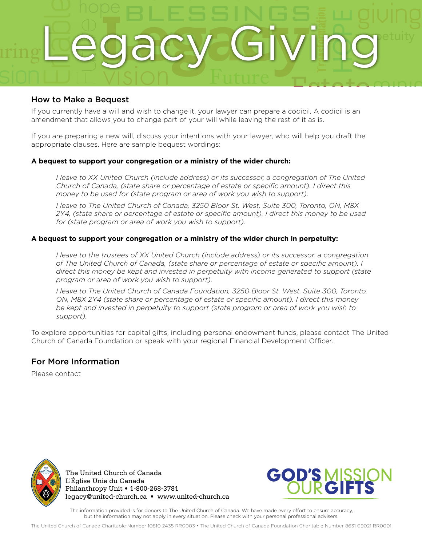

#### How to Make a Bequest

amendment that allows you to change part of your will while leaving the rest of it as is.<br>If you will while leaving the rest of it as is.

amendment that allows you to change part of your will while leaving the rest of it as is.<br>If you are preparing a new will, discuss your intentions with your lawyer, who will help you draft the God are preparing a new win, discuss your interitions with your lawyer, who will help you draft to appropriate clauses. Here are sample bequest wordings:

#### **A bequest to support your congregation or a ministry of the wider church:**

*I leave to XX United Church (include address) or its successor, a congregation of The United Church of Canada, (state share or percentage of estate or specific amount). I direct this money to be used for (state program or area of work you wish to support).*

*I leave to The United Church of Canada, 3250 Bloor St. West, Suite 300, Toronto, ON, M8X 2Y4, (state share or percentage of estate or specific amount). I direct this money to be used for (state program or area of work you wish to support).*

#### **A bequest to support your congregation or a ministry of the wider church in perpetuity:**

*I leave to the trustees of XX United Church (include address) or its successor, a congregation of The United Church of Canada, (state share or percentage of estate or specific amount). I direct this money be kept and invested in perpetuity with income generated to support (state program or area of work you wish to support).*

*I leave to The United Church of Canada Foundation, 3250 Bloor St. West, Suite 300, Toronto, ON, M8X 2Y4 (state share or percentage of estate or specific amount). I direct this money be kept and invested in perpetuity to support (state program or area of work you wish to support).*

To explore opportunities for capital gifts, including personal endowment funds, please contact The United Church of Canada Foundation or speak with your regional Financial Development Officer.

#### For More Information

Please contact



The United Church of Canada L'Église Unie du Canada Philanthropy Unit • 1-800-268-3781 legacy@united-church.ca • www.united-church.ca



The information provided is for donors to The United Church of Canada. We have made every effort to ensure accuracy, but the information may not apply in every situation. Please check with your personal professional advisers.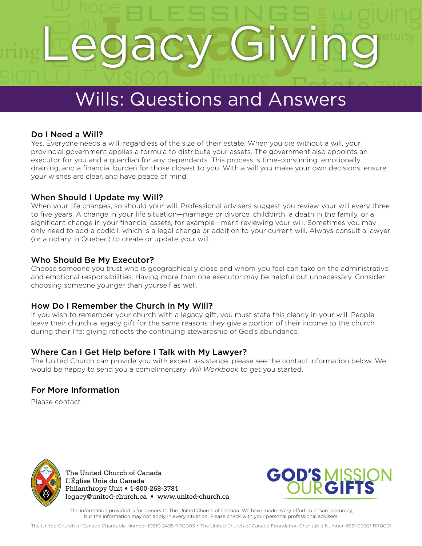## PESSINGS OBC Enable **intention**<br>
Hope<br>
Hope<br>
International Transformation<br>
International Transformation<br>  $\frac{1}{2}$ Future ming **Legacy Giving**etuity sion Legacy Giving

# Endowned Wills: Questions and Answers Wills: Questions and Answers

#### Do I Need a Will?  $\mathbf{c}_0$

DO TITOUR & TITHI<br>Yes. Everyone needs a will, regardless of the size of their estate. When you die without a will, your<br>provincial government applies a formula to distribute your assets. The government also appoints an<br>exe Yes. Everyone needs a will, regardless of the size of their estate. When you die without a will, your executor for you and a guardian for any dependants. This process is time-consuming, emotionally draining, and a financial burden for those closest to you. With a will you make your own decisions, ensure your wishes are clear, and have peace of mind.

#### When Should I Update my Will?

When your life changes, so should your will. Professional advisers suggest you review your will every three to five years. A change in your life situation—marriage or divorce, childbirth, a death in the family, or a significant change in your financial assets, for example—merit reviewing your will. Sometimes you may only need to add a codicil, which is a legal change or addition to your current will. Always consult a lawyer (or a notary in Quebec) to create or update your will.

#### Who Should Be My Executor?

Choose someone you trust who is geographically close and whom you feel can take on the administrative and emotional responsibilities. Having more than one executor may be helpful but unnecessary. Consider choosing someone younger than yourself as well.

#### How Do I Remember the Church in My Will?

If you wish to remember your church with a legacy gift, you must state this clearly in your will. People leave their church a legacy gift for the same reasons they give a portion of their income to the church during their life: giving reflects the continuing stewardship of God's abundance.

#### Where Can I Get Help before I Talk with My Lawyer?

The United Church can provide you with expert assistance; please see the contact information below. We would be happy to send you a complimentary *Will Workbook* to get you started.

#### For More Information

Please contact



The United Church of Canada L'Église Unie du Canada Philanthropy Unit • 1-800-268-3781 legacy@united-church.ca • www.united-church.ca



Ministry

The information provided is for donors to The United Church of Canada. We have made every effort to ensure accuracy, but the information may not apply in every situation. Please check with your personal professional advisers.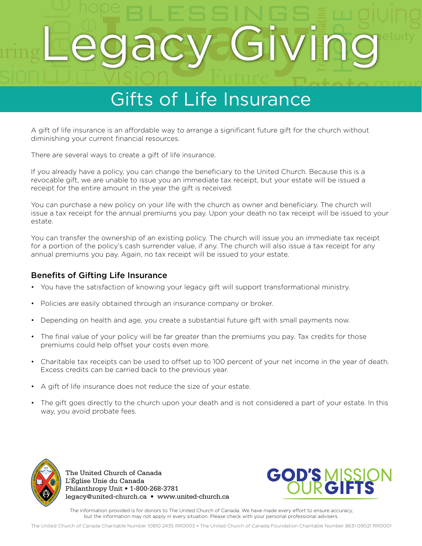### PESSINGS a<sup>c</sup> Enable intentional Transformation<br>Transformation<br>Ce HOPE Future ming **Legacy Giving**etuity sion Legacy Giving

# endown the transition of the thermal estimated the transition of Life Insurance Gifts of Life Insurance

A gift of life insurance is an affordable way to arrange a significant future gift for the church without<br>diminishing your current financial resources. diminishing your current financial resources.<br>There are several ways to create a gift of life insurance. diminishing your current financial resources.

If you already have a policy, you can change the beneficiary to the United Church. Because this is a revocable gift, we are unable to issue you an immediate tax receipt, but your estate will be issued a receipt for the entire amount in the year the gift is received.

You can purchase a new policy on your life with the church as owner and beneficiary. The church will issue a tax receipt for the annual premiums you pay. Upon your death no tax receipt will be issued to your estate.

You can transfer the ownership of an existing policy. The church will issue you an immediate tax receipt for a portion of the policy's cash surrender value, if any. The church will also issue a tax receipt for any annual premiums you pay. Again, no tax receipt will be issued to your estate.

#### Benefits of Gifting Life Insurance

- You have the satisfaction of knowing your legacy gift will support transformational ministry.
- Policies are easily obtained through an insurance company or broker.
- Depending on health and age, you create a substantial future gift with small payments now.
- The final value of your policy will be far greater than the premiums you pay. Tax credits for those premiums could help offset your costs even more.
- Charitable tax receipts can be used to offset up to 100 percent of your net income in the year of death. Excess credits can be carried back to the previous year.
- A gift of life insurance does not reduce the size of your estate.
- The gift goes directly to the church upon your death and is not considered a part of your estate. In this way, you avoid probate fees.



The United Church of Canada L'Église Unie du Canada Philanthropy Unit • 1-800-268-3781 legacy@united-church.ca • www.united-church.ca



Ministry

The information provided is for donors to The United Church of Canada. We have made every effort to ensure accuracy, but the information may not apply in every situation. Please check with your personal professional advisers.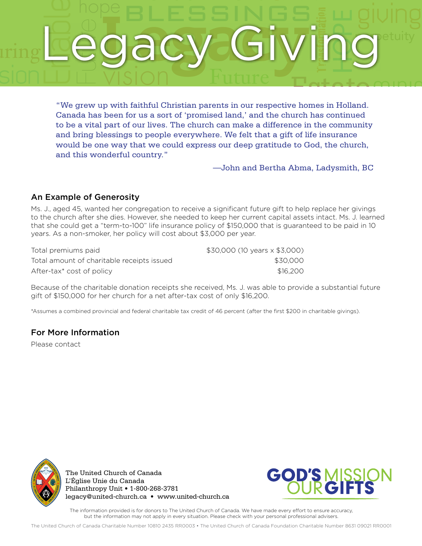## PESSINGS ac Enable intentional Transformation<br>
Fig. 1.1<br>
Hope homes in Hollar<br>
Hope has continued Future ming **Legacy Giving**etuity sion Legacy Giving

ENDER TOWERT STREET STREET STREET STREET STREET STREET STREET STREET STREET STREET STREET STREET STREET STREET STREET STREET STREET STREET STREET STREET STREET STREET STREET STREET STREET STREET STREET STREET STREET STREET to be a vital part of our lives. The church can make a difference in the community<br>and bring blessings to people everywhere. We felt that a gift of life insurance Ministry and string stessings to people overy thiefer the feat and a gift of the misditance<br>would be one way that we could express our deep gratitude to God, the church,<br>and this wonderful country." "We grew up with faithful Christian parents in our respective homes in Holland. Canada has been for us a sort of 'promised land,' and the church has continued and bring blessings to people everywhere. We felt that a gift of life insurance and this wonderful country."

—John and Bertha Abma, Ladysmith, BC

#### An Example of Generosity

Ms. J., aged 45, wanted her congregation to receive a significant future gift to help replace her givings to the church after she dies. However, she needed to keep her current capital assets intact. Ms. J. learned that she could get a "term-to-100" life insurance policy of \$150,000 that is guaranteed to be paid in 10 years. As a non-smoker, her policy will cost about \$3,000 per year.

| Total premiums paid                        | \$30,000 (10 years x \$3,000) |
|--------------------------------------------|-------------------------------|
| Total amount of charitable receipts issued | \$30.000                      |
| After-tax* cost of policy                  | \$16,200                      |

Because of the charitable donation receipts she received, Ms. J. was able to provide a substantial future gift of \$150,000 for her church for a net after-tax cost of only \$16,200.

\*Assumes a combined provincial and federal charitable tax credit of 46 percent (after the first \$200 in charitable givings).

#### For More Information

Please contact



The United Church of Canada L'Église Unie du Canada Philanthropy Unit • 1-800-268-3781 legacy@united-church.ca • www.united-church.ca



The information provided is for donors to The United Church of Canada. We have made every effort to ensure accuracy, but the information may not apply in every situation. Please check with your personal professional advisers.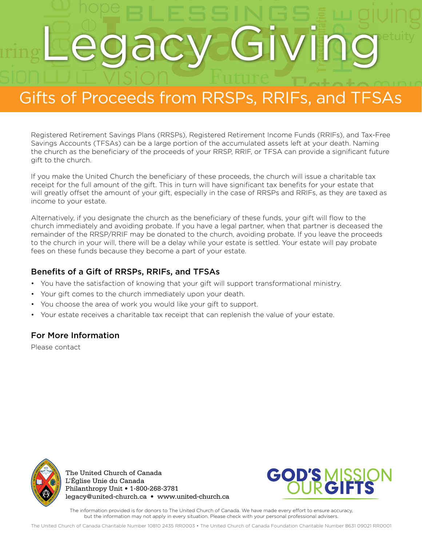## PESSINGS OBC Enable intention<br>
Figure 1<br>
Hope<br>
Figure 1<br>
The Transformation<br>
Transformation<br>
Transformation<br>
Transformation<br>
Transformation<br>
Transformation<br>
Transformation<br>
Transformation<br>
Transformation<br>
Transformation<br>
Transformation<br>
Trans ming **Legacy Giving**etuity Legacy Giving

# Gifts of Proceeds from RRSPs, RRIFs, and TFSAs Gifts of Proceeds from RRSPs, RRIFs, and TFSAs

Registered Retirement Savings Plans (RRSPs), Registered Retirement Income Funds (RRIFs), and Tax-Free Togistered Netherland Cartigs Plans (NNetherland Netherland Rischer and Cartier by, and Tax Precentings Savings Accounts (TFSAs) can be a large portion of the accumulated assets left at your death. Naming the church as the Savings Accounts (TFSAs) can be a large portion of the accumulated assets left at your death. Naming gift to the church.

If you make the United Church the beneficiary of these proceeds, the church will issue a charitable tax receipt for the full amount of the gift. This in turn will have significant tax benefits for your estate that will greatly offset the amount of your gift, especially in the case of RRSPs and RRIFs, as they are taxed as income to your estate.

Alternatively, if you designate the church as the beneficiary of these funds, your gift will flow to the church immediately and avoiding probate. If you have a legal partner, when that partner is deceased the remainder of the RRSP/RRIF may be donated to the church, avoiding probate. If you leave the proceeds to the church in your will, there will be a delay while your estate is settled. Your estate will pay probate fees on these funds because they become a part of your estate.

#### Benefits of a Gift of RRSPs, RRIFs, and TFSAs

- You have the satisfaction of knowing that your gift will support transformational ministry.
- Your gift comes to the church immediately upon your death.
- You choose the area of work you would like your gift to support.
- Your estate receives a charitable tax receipt that can replenish the value of your estate.

#### For More Information

Please contact



The United Church of Canada L'Église Unie du Canada Philanthropy Unit • 1-800-268-3781 legacy@united-church.ca • www.united-church.ca



The information provided is for donors to The United Church of Canada. We have made every effort to ensure accuracy, but the information may not apply in every situation. Please check with your personal professional advisers.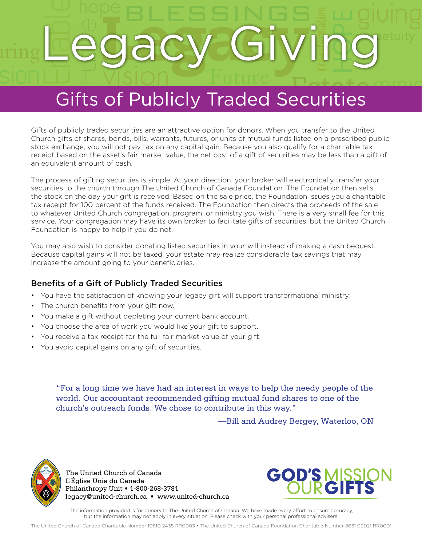## PESSINGS OBC Enable SELL<br> **/ Int**<br>
ecuritie Future ming **Legacy Giving**etuity sion Legacy Giving

# **Extra Gifts of Publicly Traded Securities** Gifts of Publicly Traded Securities

Gifts of publicly traded securities are an attractive option for donors. When you transfer to the United<br>Church gifts of shares, bonds, bills, warrants, futures, or units of mutual funds listed on a prescribed public Church gifts of shares, bonds, bills, warrants, futures, or units of mutual funds listed on a prescribed public<br>stock exchange, you will not pay tax on any capital gain. Because you also qualify for a charitable tax<br>receip Church gifts of shares, bonds, bills, warrants, futures, or units of mutual funds listed on a prescribed public stock exchange, you will not pay tax on any capital gain. Because you also qualify for a charitable tax an equivalent amount of cash.

The process of gifting securities is simple. At your direction, your broker will electronically transfer your securities to the church through The United Church of Canada Foundation. The Foundation then sells the stock on the day your gift is received. Based on the sale price, the Foundation issues you a charitable tax receipt for 100 percent of the funds received. The Foundation then directs the proceeds of the sale to whatever United Church congregation, program, or ministry you wish. There is a very small fee for this service. Your congregation may have its own broker to facilitate gifts of securities, but the United Church Foundation is happy to help if you do not.

You may also wish to consider donating listed securities in your will instead of making a cash bequest. Because capital gains will not be taxed, your estate may realize considerable tax savings that may increase the amount going to your beneficiaries.

#### Benefits of a Gift of Publicly Traded Securities

- You have the satisfaction of knowing your legacy gift will support transformational ministry.
- The church benefits from your gift now.
- You make a gift without depleting your current bank account.
- You choose the area of work you would like your gift to support.
- You receive a tax receipt for the full fair market value of your gift.
- You avoid capital gains on any gift of securities.

"For a long time we have had an interest in ways to help the needy people of the world. Our accountant recommended gifting mutual fund shares to one of the church's outreach funds. We chose to contribute in this way."

—Bill and Audrey Bergey, Waterloo, ON



The United Church of Canada L'Église Unie du Canada Philanthropy Unit • 1-800-268-3781 legacy@united-church.ca • www.united-church.ca



Ministry

The information provided is for donors to The United Church of Canada. We have made every effort to ensure accuracy, but the information may not apply in every situation. Please check with your personal professional advisers.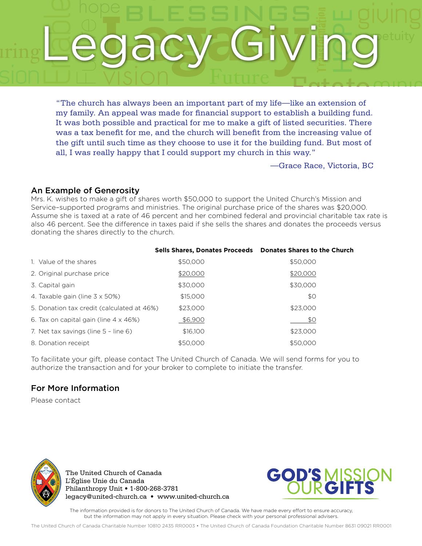## PESSINGS a Enable ike an extension<br>Dish a building fu Future ming **Legacy Giving**etuity sion Legacy Giving

portant part of my life<br>financial support to es TOMORROW ENDELLY VISIOII FULLITE<br>
"The church has always been an important part of my life—like an extension of<br>
my family. An appeal was made for financial support to establish a building fund. It was both possible and practical for me to make a gift of listed securities. There<br>was a tax benefit for me, and the church will benefit from the increasing value of It was both possible and practical for me to make a gift of listed securities. There was a tax benefit for me, and the church will benefit from the increasing value of Ministry the gift until such time as they choose to use it for the building fund. But most of<br>all, I was really happy that I could support my church in this way." "The church has always been an important part of my life—like an extension of all, I was really happy that I could support my church in this way."

—Grace Race, Victoria, BC

#### An Example of Generosity

Mrs. K. wishes to make a gift of shares worth \$50,000 to support the United Church's Mission and Service–supported programs and ministries. The original purchase price of the shares was \$20,000. Assume she is taxed at a rate of 46 percent and her combined federal and provincial charitable tax rate is also 46 percent. See the difference in taxes paid if she sells the shares and donates the proceeds versus donating the shares directly to the church.

|                                               | Sells Shares, Donates Proceeds  Donates Shares to the Church |          |
|-----------------------------------------------|--------------------------------------------------------------|----------|
| 1. Value of the shares                        | \$50,000                                                     | \$50,000 |
| 2. Original purchase price                    | \$20,000                                                     | \$20,000 |
| 3. Capital gain                               | \$30,000                                                     | \$30,000 |
| 4. Taxable gain (line $3 \times 50\%$ )       | \$15,000                                                     | \$0      |
| 5. Donation tax credit (calculated at 46%)    | \$23,000                                                     | \$23,000 |
| 6. Tax on capital gain (line $4 \times 46\%)$ | \$6,900                                                      | \$0      |
| 7. Net tax savings (line 5 - line 6)          | \$16,100                                                     | \$23,000 |
| 8. Donation receipt                           | \$50,000                                                     | \$50,000 |

#### To facilitate your gift, please contact The United Church of Canada. We will send forms for you to authorize the transaction and for your broker to complete to initiate the transfer.

#### For More Information

Please contact



The United Church of Canada L'Église Unie du Canada Philanthropy Unit • 1-800-268-3781 legacy@united-church.ca • www.united-church.ca



The information provided is for donors to The United Church of Canada. We have made every effort to ensure accuracy, but the information may not apply in every situation. Please check with your personal professional advisers.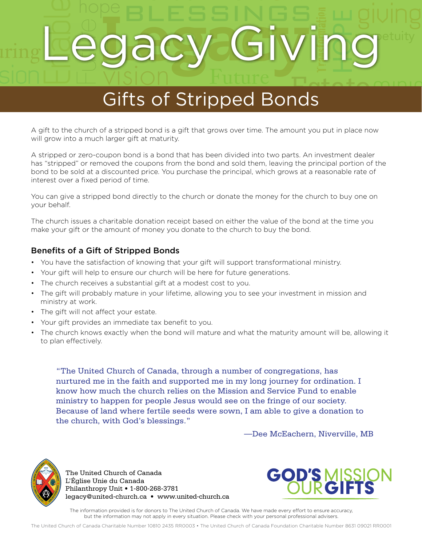## PESSINGS ac Enable s<br>Tind<br>ds Future ming **Legacy Giving**etuity sion Legacy Giving

# endown Cifts of Stripped Bonds Gifts of Stripped Bonds

A gift to the church of a stripped bond is a gift that grows over time. The amount you put in place now<br>will grow into a much larger gift at maturity. will grow into a much larger gift at maturity.

will grow into a much larger gift at maturity.<br>A stripped or zero-coupon bond is a bond that has been divided into two parts. An investment dealer has "stripped" or removed the coupons from the bond and sold them, leaving the principal portion of the bond to be sold at a discounted price. You purchase the principal, which grows at a reasonable rate of interest over a fixed period of time.

You can give a stripped bond directly to the church or donate the money for the church to buy one on your behalf.

The church issues a charitable donation receipt based on either the value of the bond at the time you make your gift or the amount of money you donate to the church to buy the bond.

#### Benefits of a Gift of Stripped Bonds

- You have the satisfaction of knowing that your gift will support transformational ministry.
- Your gift will help to ensure our church will be here for future generations.
- The church receives a substantial gift at a modest cost to you.
- The gift will probably mature in your lifetime, allowing you to see your investment in mission and ministry at work.
- The gift will not affect your estate.
- Your gift provides an immediate tax benefit to you.
- The church knows exactly when the bond will mature and what the maturity amount will be, allowing it to plan effectively.

"The United Church of Canada, through a number of congregations, has nurtured me in the faith and supported me in my long journey for ordination. I know how much the church relies on the Mission and Service Fund to enable ministry to happen for people Jesus would see on the fringe of our society. Because of land where fertile seeds were sown, I am able to give a donation to the church, with God's blessings."

—Dee McEachern, Niverville, MB



The United Church of Canada L'Église Unie du Canada Philanthropy Unit • 1-800-268-3781 legacy@united-church.ca • www.united-church.ca



Ministry

The information provided is for donors to The United Church of Canada. We have made every effort to ensure accuracy, but the information may not apply in every situation. Please check with your personal professional advisers.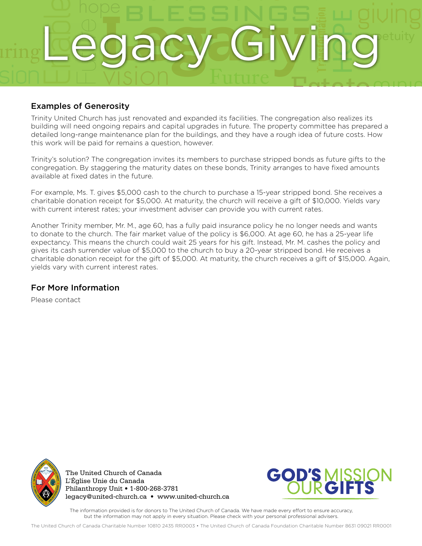

#### Examples of Generosity

Trinity United Church has just renovated and expanded its facilities. The congregation also realizes its<br>building will need ongoing repairs and capital upgrades in future. The property committee has prepared a<br>detailed lon This work will be paid for remains a question, however.<br>Trinity's solution? The congregation invites its members to purchase stripped bonds as future gifts to the detailed long-range maintenance plan for the buildings, and they have a rough idea of future costs. How this work will be paid for remains a question, however.

congregation. By staggering the maturity dates on these bonds, Trinity arranges to have fixed amounts available at fixed dates in the future.

For example, Ms. T. gives \$5,000 cash to the church to purchase a 15-year stripped bond. She receives a charitable donation receipt for \$5,000. At maturity, the church will receive a gift of \$10,000. Yields vary with current interest rates; your investment adviser can provide you with current rates.

Another Trinity member, Mr. M., age 60, has a fully paid insurance policy he no longer needs and wants to donate to the church. The fair market value of the policy is \$6,000. At age 60, he has a 25-year life expectancy. This means the church could wait 25 years for his gift. Instead, Mr. M. cashes the policy and gives its cash surrender value of \$5,000 to the church to buy a 20-year stripped bond. He receives a charitable donation receipt for the gift of \$5,000. At maturity, the church receives a gift of \$15,000. Again, yields vary with current interest rates.

#### For More Information

Please contact



The United Church of Canada L'Église Unie du Canada Philanthropy Unit • 1-800-268-3781 legacy@united-church.ca • www.united-church.ca



The information provided is for donors to The United Church of Canada. We have made every effort to ensure accuracy, but the information may not apply in every situation. Please check with your personal professional advisers.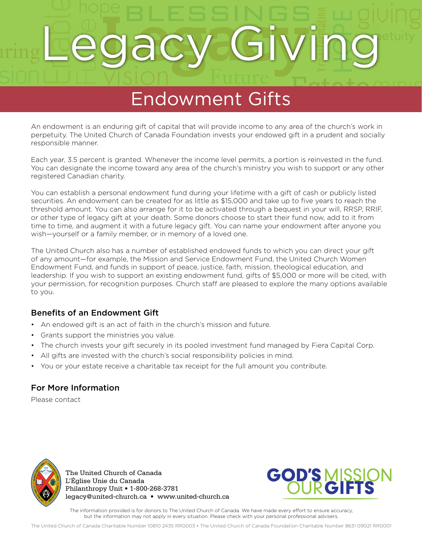## PESSINGS ac Enable intentional Transformation Future ming **Legacy Giving**etuity sion Legacy Giving

# endowment Gifts Endowment Gifts

An endowment is an enduring gift of capital that will provide income to any area of the church's work in<br>perpetuity. The United Church of Canada Foundation invests your endowed gift in a prudent and socially Ministry god gifts and since the control of the sense is sense.<br>The seponsible manner.<br>Each year, 3.5 percent is granted. Whenever the income level permits, a portion is reinvested in the fund. perpetuity. The United Church of Canada Foundation invests your endowed gift in a prudent and socially responsible manner.

You can designate the income toward any area of the church's ministry you wish to support or any other registered Canadian charity.

You can establish a personal endowment fund during your lifetime with a gift of cash or publicly listed securities. An endowment can be created for as little as \$15,000 and take up to five years to reach the threshold amount. You can also arrange for it to be activated through a bequest in your will, RRSP, RRIF, or other type of legacy gift at your death. Some donors choose to start their fund now, add to it from time to time, and augment it with a future legacy gift. You can name your endowment after anyone you wish—yourself or a family member, or in memory of a loved one.

The United Church also has a number of established endowed funds to which you can direct your gift of any amount—for example, the Mission and Service Endowment Fund, the United Church Women Endowment Fund, and funds in support of peace, justice, faith, mission, theological education, and leadership. If you wish to support an existing endowment fund, gifts of \$5,000 or more will be cited, with your permission, for recognition purposes. Church staff are pleased to explore the many options available to you.

#### Benefits of an Endowment Gift

- An endowed gift is an act of faith in the church's mission and future.
- Grants support the ministries you value.
- The church invests your gift securely in its pooled investment fund managed by Fiera Capital Corp.
- All gifts are invested with the church's social responsibility policies in mind.
- You or your estate receive a charitable tax receipt for the full amount you contribute.

#### For More Information

Please contact



The United Church of Canada L'Église Unie du Canada Philanthropy Unit • 1-800-268-3781 legacy@united-church.ca • www.united-church.ca



The information provided is for donors to The United Church of Canada. We have made every effort to ensure accuracy, but the information may not apply in every situation. Please check with your personal professional advisers.